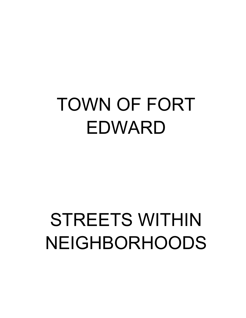## TOWN OF FORT EDWARD

# STREETS WITHIN NEIGHBORHOODS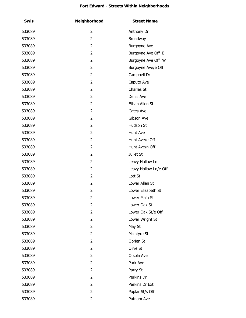| <u>Swis</u> | <b>Neighborhood</b> | <b>Street Name</b>    |
|-------------|---------------------|-----------------------|
| 533089      | 2                   | Anthony Dr            |
| 533089      | 2                   | Broadway              |
| 533089      | 2                   | Burgoyne Ave          |
| 533089      | 2                   | Burgoyne Ave Off E    |
| 533089      | 2                   | Burgoyne Ave Off W    |
| 533089      | 2                   | Burgoyne Ave/e Off    |
| 533089      | 2                   | Campbell Dr           |
| 533089      | 2                   | Caputo Ave            |
| 533089      | 2                   | Charles St            |
| 533089      | 2                   | Denis Ave             |
| 533089      | 2                   | Ethan Allen St        |
| 533089      | 2                   | Gates Ave             |
| 533089      | 2                   | Gibson Ave            |
| 533089      | 2                   | Hudson St             |
| 533089      | 2                   | Hunt Ave              |
| 533089      | 2                   | Hunt Ave/e Off        |
| 533089      | 2                   | Hunt Ave/n Off        |
| 533089      | 2                   | Juliet St             |
| 533089      | 2                   | Leavy Hollow Ln       |
| 533089      | 2                   | Leavy Hollow Ln/e Off |
| 533089      | 2                   | Lott St               |
| 533089      | 2                   | Lower Allen St        |
| 533089      | 2                   | Lower Elizabeth St    |
| 533089      | 2                   | Lower Main St         |
| 533089      | 2                   | Lower Oak St          |
| 533089      | 2                   | Lower Oak St/e Off    |
| 533089      | 2                   | Lower Wright St       |
| 533089      | 2                   | May St                |
| 533089      | 2                   | Mcintyre St           |
| 533089      | 2                   | Obrien St             |
| 533089      | 2                   | Olive St              |
| 533089      | 2                   | Orsola Ave            |
| 533089      | 2                   | Park Ave              |
| 533089      | 2                   | Parry St              |
| 533089      | 2                   | Perkins Dr            |
| 533089      | 2                   | Perkins Dr Ext        |
| 533089      | 2                   | Poplar St/s Off       |
| 533089      | 2                   | Putnam Ave            |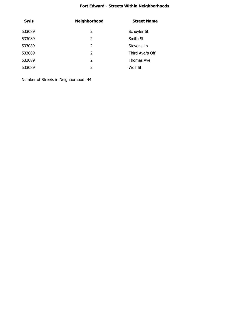| <b>Swis</b> | <b>Neighborhood</b> | <b>Street Name</b> |
|-------------|---------------------|--------------------|
| 533089      | 2                   | Schuyler St        |
| 533089      | 2                   | Smith St           |
| 533089      | 2                   | Stevens Ln         |
| 533089      | 2                   | Third Ave/s Off    |
| 533089      | $\mathcal{P}$       | Thomas Ave         |
| 533089      | 2                   | Wolf St            |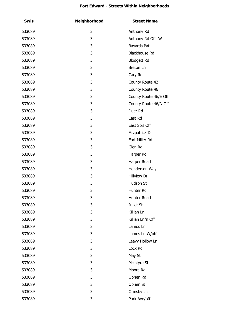| <u>Swis</u> | <b>Neighborhood</b> | <b>Street Name</b>    |
|-------------|---------------------|-----------------------|
| 533089      | 3                   | Anthony Rd            |
| 533089      | 3                   | Anthony Rd Off W      |
| 533089      | 3                   | Bayards Pat           |
| 533089      | 3                   | Blackhouse Rd         |
| 533089      | 3                   | <b>Blodgett Rd</b>    |
| 533089      | 3                   | Breton Ln             |
| 533089      | 3                   | Cary Rd               |
| 533089      | 3                   | County Route 42       |
| 533089      | 3                   | County Route 46       |
| 533089      | 3                   | County Route 46/E Off |
| 533089      | 3                   | County Route 46/N Off |
| 533089      | 3                   | Duer Rd               |
| 533089      | 3                   | East Rd               |
| 533089      | 3                   | East St/s Off         |
| 533089      | 3                   | Fitzpatrick Dr        |
| 533089      | 3                   | Fort Miller Rd        |
| 533089      | 3                   | Glen Rd               |
| 533089      | 3                   | Harper Rd             |
| 533089      | 3                   | Harper Road           |
| 533089      | 3                   | Henderson Way         |
| 533089      | 3                   | Hillview Dr           |
| 533089      | 3                   | Hudson St             |
| 533089      | 3                   | Hunter Rd             |
| 533089      | 3                   | Hunter Road           |
| 533089      | 3                   | Juliet St             |
| 533089      | 3                   | Killian Ln            |
| 533089      | 3                   | Killian Ln/n Off      |
| 533089      | 3                   | Lamos Ln              |
| 533089      | 3                   | Lamos Ln W/off        |
| 533089      | 3                   | Leavy Hollow Ln       |
| 533089      | 3                   | Lock Rd               |
| 533089      | 3                   | May St                |
| 533089      | 3                   | Mcintyre St           |
| 533089      | 3                   | Moore Rd              |
| 533089      | 3                   | Obrien Rd             |
| 533089      | 3                   | Obrien St             |
| 533089      | 3                   | Ormsby Ln             |
| 533089      | 3                   | Park Ave/off          |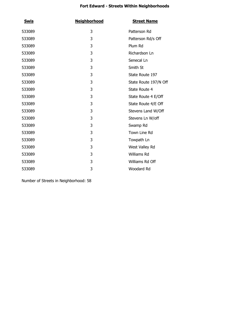| <u>Swis</u> | <b>Neighborhood</b> | <b>Street Name</b>    |
|-------------|---------------------|-----------------------|
| 533089      | 3                   | Patterson Rd          |
| 533089      | 3                   | Patterson Rd/s Off    |
| 533089      | 3                   | Plum Rd               |
| 533089      | 3                   | Richardson Ln         |
| 533089      | 3                   | Senecal Ln            |
| 533089      | 3                   | Smith St              |
| 533089      | 3                   | State Route 197       |
| 533089      | 3                   | State Route 197/N Off |
| 533089      | 3                   | State Route 4         |
| 533089      | 3                   | State Route 4 E/Off   |
| 533089      | 3                   | State Route 4/E Off   |
| 533089      | 3                   | Stevens Land W/Off    |
| 533089      | 3                   | Stevens Ln W/off      |
| 533089      | 3                   | Swamp Rd              |
| 533089      | 3                   | Town Line Rd          |
| 533089      | 3                   | Towpath Ln            |
| 533089      | 3                   | West Valley Rd        |
| 533089      | 3                   | Williams Rd           |
| 533089      | 3                   | Williams Rd Off       |
| 533089      | 3                   | Woodard Rd            |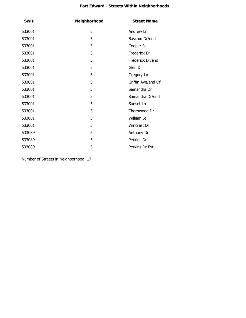| <b>Swis</b> | <b>Neighborhood</b> | <b>Street Name</b> |
|-------------|---------------------|--------------------|
| 533001      | 5                   | Andrew Ln          |
| 533001      | 5                   | Bascom Dr/end      |
| 533001      | 5                   | Cooper St          |
| 533001      | 5                   | Frederick Dr       |
| 533001      | 5                   | Frederick Dr/end   |
| 533001      | 5                   | Glen Dr            |
| 533001      | 5                   | Gregory Ln         |
| 533001      | 5                   | Griffin Ave/end Of |
| 533001      | 5                   | Samantha Dr        |
| 533001      | 5                   | Samantha Dr/end    |
| 533001      | 5                   | Sunset Ln          |
| 533001      | 5                   | Thornwood Dr       |
| 533001      | 5                   | William St         |
| 533001      | 5                   | Wincrest Dr        |
| 533089      | 5                   | Anthony Dr         |
| 533089      | 5                   | Perkins Dr         |
| 533089      | 5                   | Perkins Dr Ext     |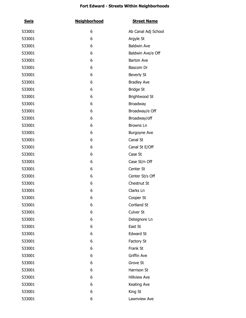| <b>Swis</b> | <b>Neighborhood</b> | <b>Street Name</b>  |
|-------------|---------------------|---------------------|
| 533001      | 6                   | Ab Canal Adj School |
| 533001      | 6                   | Argyle St           |
| 533001      | 6                   | <b>Baldwin Ave</b>  |
| 533001      | 6                   | Baldwin Ave/e Off   |
| 533001      | 6                   | <b>Barton Ave</b>   |
| 533001      | 6                   | Bascom Dr           |
| 533001      | 6                   | Beverly St          |
| 533001      | 6                   | <b>Bradley Ave</b>  |
| 533001      | 6                   | <b>Bridge St</b>    |
| 533001      | 6                   | Brightwood St       |
| 533001      | 6                   | Broadway            |
| 533001      | 6                   | Broadway/e Off      |
| 533001      | 6                   | Broadway/off        |
| 533001      | 6                   | Browns Ln           |
| 533001      | 6                   | Burgoyne Ave        |
| 533001      | 6                   | Canal St            |
| 533001      | 6                   | Canal St E/Off      |
| 533001      | 6                   | Case St             |
| 533001      | 6                   | Case St/n Off       |
| 533001      | 6                   | Center St           |
| 533001      | 6                   | Center St/s Off     |
| 533001      | 6                   | Chestnut St         |
| 533001      | 6                   | Clarks Ln           |
| 533001      | 6                   | Cooper St           |
| 533001      | 6                   | Cortland St         |
| 533001      | 6                   | Culver St           |
| 533001      | 6                   | Delsignore Ln       |
| 533001      | 6                   | East St             |
| 533001      | 6                   | <b>Edward St</b>    |
| 533001      | 6                   | Factory St          |
| 533001      | 6                   | Frank St            |
| 533001      | 6                   | Griffin Ave         |
| 533001      | 6                   | Grove St            |
| 533001      | 6                   | Harrison St         |
| 533001      | 6                   | <b>Hillview Ave</b> |
| 533001      | 6                   | Keating Ave         |
| 533001      | 6                   | King St             |
| 533001      | 6                   | Lawnview Ave        |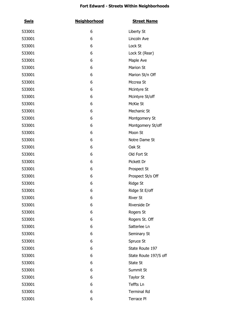| <b>Swis</b> | <b>Neighborhood</b> | <b>Street Name</b>    |
|-------------|---------------------|-----------------------|
| 533001      | 6                   | Liberty St            |
| 533001      | 6                   | Lincoln Ave           |
| 533001      | 6                   | Lock St               |
| 533001      | 6                   | Lock St (Rear)        |
| 533001      | 6                   | Maple Ave             |
| 533001      | 6                   | <b>Marion St</b>      |
| 533001      | 6                   | Marion St/n Off       |
| 533001      | 6                   | Mccrea St             |
| 533001      | 6                   | Mcintyre St           |
| 533001      | 6                   | Mcintyre St/off       |
| 533001      | 6                   | McKie St              |
| 533001      | 6                   | Mechanic St           |
| 533001      | 6                   | Montgomery St         |
| 533001      | 6                   | Montgomery St/off     |
| 533001      | 6                   | Moon St               |
| 533001      | 6                   | Notre Dame St         |
| 533001      | 6                   | Oak St                |
| 533001      | 6                   | Old Fort St           |
| 533001      | 6                   | Pickett Dr            |
| 533001      | 6                   | Prospect St           |
| 533001      | 6                   | Prospect St/s Off     |
| 533001      | 6                   | Ridge St              |
| 533001      | 6                   | Ridge St E/off        |
| 533001      | 6                   | <b>River St</b>       |
| 533001      | 6                   | Riverside Dr          |
| 533001      | 6                   | Rogers St             |
| 533001      | 6                   | Rogers St. Off        |
| 533001      | 6                   | Satterlee Ln          |
| 533001      | 6                   | Seminary St           |
| 533001      | 6                   | Spruce St             |
| 533001      | 6                   | State Route 197       |
| 533001      | 6                   | State Route 197/S off |
| 533001      | 6                   | State St              |
| 533001      | 6                   | Summit St             |
| 533001      | 6                   | <b>Taylor St</b>      |
| 533001      | 6                   | Teffts Ln             |
| 533001      | 6                   | <b>Terminal Rd</b>    |
| 533001      | 6                   | Terrace Pl            |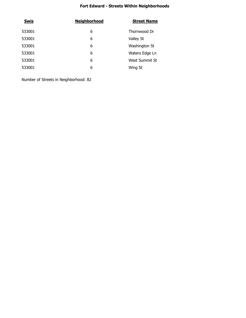| <b>Neighborhood</b> | <b>Street Name</b> |
|---------------------|--------------------|
| 6                   | Thornwood Dr       |
| 6                   | Valley St          |
| 6                   | Washington St      |
| 6                   | Waters Edge Ln     |
| 6                   | West Summit St     |
| 6                   | Wing St            |
|                     |                    |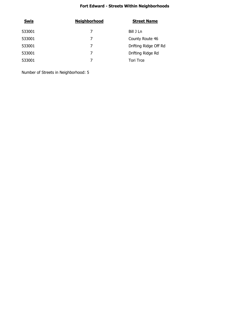| <b>Swis</b> | <b>Neighborhood</b> | <b>Street Name</b>    |
|-------------|---------------------|-----------------------|
| 533001      | 7                   | Bill J Ln             |
| 533001      | 7                   | County Route 46       |
| 533001      | 7                   | Drifting Ridge Off Rd |
| 533001      | 7                   | Drifting Ridge Rd     |
| 533001      |                     | <b>Tori Trce</b>      |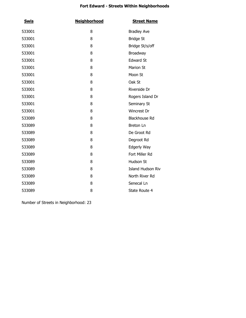| <b>Swis</b> | <b>Neighborhood</b> | <b>Street Name</b>       |
|-------------|---------------------|--------------------------|
| 533001      | 8                   | <b>Bradley Ave</b>       |
| 533001      | 8                   | <b>Bridge St</b>         |
| 533001      | 8                   | Bridge St/s/off          |
| 533001      | 8                   | Broadway                 |
| 533001      | 8                   | <b>Edward St</b>         |
| 533001      | 8                   | <b>Marion St</b>         |
| 533001      | 8                   | Moon St                  |
| 533001      | 8                   | Oak St                   |
| 533001      | 8                   | Riverside Dr             |
| 533001      | 8                   | Rogers Island Dr         |
| 533001      | 8                   | Seminary St              |
| 533001      | 8                   | Wincrest Dr              |
| 533089      | 8                   | <b>Blackhouse Rd</b>     |
| 533089      | 8                   | Breton Ln                |
| 533089      | 8                   | De Groot Rd              |
| 533089      | 8                   | Degroot Rd               |
| 533089      | 8                   | Edgerly Way              |
| 533089      | 8                   | Fort Miller Rd           |
| 533089      | 8                   | Hudson St                |
| 533089      | 8                   | <b>Island Hudson Riv</b> |
| 533089      | 8                   | North River Rd           |
| 533089      | 8                   | Senecal Ln               |
| 533089      | 8                   | State Route 4            |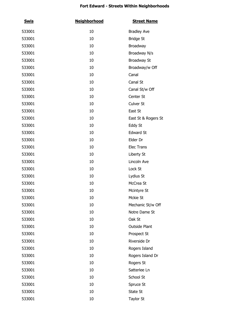| <b>Swis</b> | <b>Neighborhood</b> | <b>Street Name</b>   |
|-------------|---------------------|----------------------|
| 533001      | 10                  | <b>Bradley Ave</b>   |
| 533001      | 10                  | <b>Bridge St</b>     |
| 533001      | 10                  | Broadway             |
| 533001      | 10                  | Broadway N/s         |
| 533001      | 10                  | <b>Broadway St</b>   |
| 533001      | 10                  | Broadway/w Off       |
| 533001      | 10                  | Canal                |
| 533001      | 10                  | Canal St             |
| 533001      | 10                  | Canal St/w Off       |
| 533001      | 10                  | Center St            |
| 533001      | 10                  | Culver St            |
| 533001      | 10                  | East St              |
| 533001      | 10                  | East St & Rogers St  |
| 533001      | 10                  | Eddy St              |
| 533001      | 10                  | <b>Edward St</b>     |
| 533001      | 10                  | Elder Dr             |
| 533001      | 10                  | Elec Trans           |
| 533001      | 10                  | Liberty St           |
| 533001      | 10                  | Lincoln Ave          |
| 533001      | 10                  | Lock St              |
| 533001      | 10                  | Lydius St            |
| 533001      | 10                  | McCrea St            |
| 533001      | 10                  | Mcintyre St          |
| 533001      | 10                  | Mckie St             |
| 533001      | 10                  | Mechanic St/w Off    |
| 533001      | 10                  | Notre Dame St        |
| 533001      | 10                  | Oak St               |
| 533001      | 10                  | <b>Outside Plant</b> |
| 533001      | 10                  | Prospect St          |
| 533001      | 10                  | Riverside Dr         |
| 533001      | 10                  | Rogers Island        |
| 533001      | 10                  | Rogers Island Dr     |
| 533001      | 10                  | Rogers St            |
| 533001      | 10                  | Satterlee Ln         |
| 533001      | 10                  | School St            |
| 533001      | 10                  | Spruce St            |
| 533001      | 10                  | State St             |
| 533001      | 10                  | <b>Taylor St</b>     |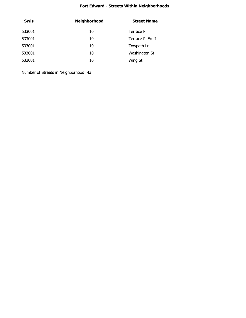| <b>Swis</b> | <b>Neighborhood</b> | <b>Street Name</b> |
|-------------|---------------------|--------------------|
| 533001      | 10                  | Terrace PI         |
| 533001      | 10                  | Terrace PI E/off   |
| 533001      | 10                  | Towpath Ln         |
| 533001      | 10                  | Washington St      |
| 533001      | 10                  | Wing St            |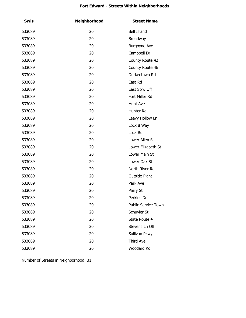| <u>Swis</u> | <b>Neighborhood</b> | <b>Street Name</b>         |
|-------------|---------------------|----------------------------|
| 533089      | 20                  | Bell Island                |
| 533089      | 20                  | Broadway                   |
| 533089      | 20                  | <b>Burgoyne Ave</b>        |
| 533089      | 20                  | Campbell Dr                |
| 533089      | 20                  | County Route 42            |
| 533089      | 20                  | County Route 46            |
| 533089      | 20                  | Durkeetown Rd              |
| 533089      | 20                  | East Rd                    |
| 533089      | 20                  | East St/w Off              |
| 533089      | 20                  | Fort Miller Rd             |
| 533089      | 20                  | Hunt Ave                   |
| 533089      | 20                  | Hunter Rd                  |
| 533089      | 20                  | Leavy Hollow Ln            |
| 533089      | 20                  | Lock 8 Way                 |
| 533089      | 20                  | Lock Rd                    |
| 533089      | 20                  | Lower Allen St             |
| 533089      | 20                  | Lower Elizabeth St         |
| 533089      | 20                  | Lower Main St              |
| 533089      | 20                  | Lower Oak St               |
| 533089      | 20                  | North River Rd             |
| 533089      | 20                  | <b>Outside Plant</b>       |
| 533089      | 20                  | Park Ave                   |
| 533089      | 20                  | Parry St                   |
| 533089      | 20                  | Perkins Dr                 |
| 533089      | 20                  | <b>Public Service Town</b> |
| 533089      | 20                  | Schuyler St                |
| 533089      | 20                  | State Route 4              |
| 533089      | 20                  | Stevens Ln Off             |
| 533089      | 20                  | Sullivan Pkwy              |
| 533089      | 20                  | Third Ave                  |
| 533089      | 20                  | Woodard Rd                 |